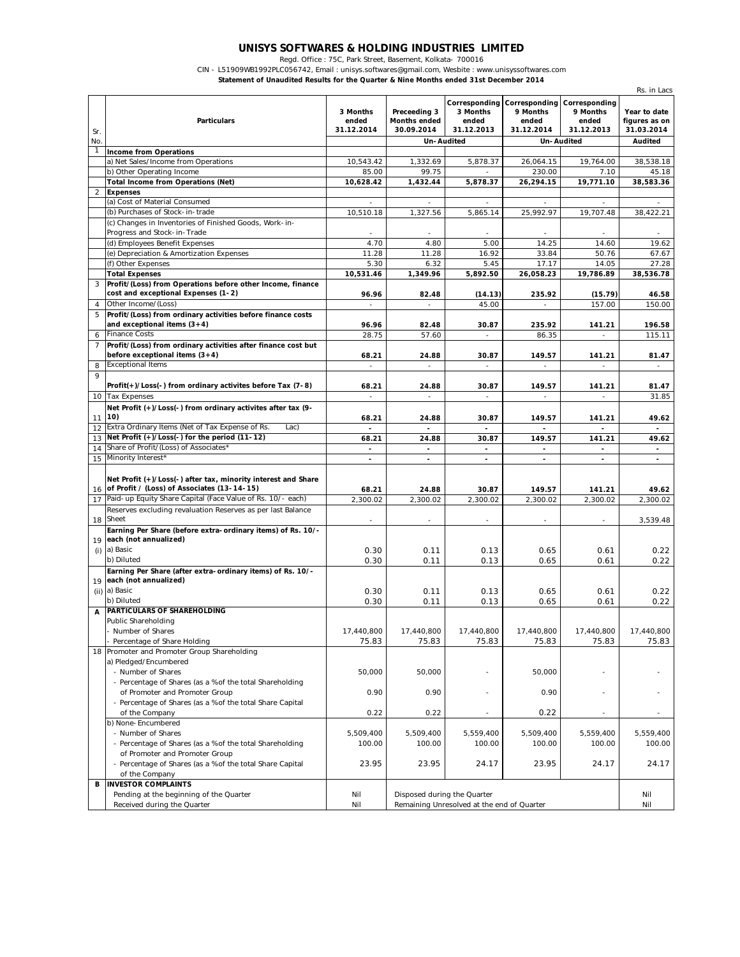## **UNISYS SOFTWARES & HOLDING INDUSTRIES LIMITED**

Regd. Office : 75C, Park Street, Basement, Kolkata- 700016

CIN - L51909WB1992PLC056742, Email : unisys.softwares@gmail.com, Wesbite : www.unisyssoftwares.com

**Statement of Unaudited Results for the Quarter & Nine Months ended 31st December 2014**

|                | <b>Particulars</b>                                                                                | 3 Months<br>ended        | Preceeding 3<br><b>Months ended</b> | 3 Months<br>ended                          | <b>Corresponding Corresponding</b><br>9 Months<br>ended | Corresponding<br>9 Months<br>ended | Year to date<br>figures as on |
|----------------|---------------------------------------------------------------------------------------------------|--------------------------|-------------------------------------|--------------------------------------------|---------------------------------------------------------|------------------------------------|-------------------------------|
| Sr.            |                                                                                                   | 31.12.2014               | 30.09.2014                          | 31.12.2013                                 | 31.12.2014                                              | 31.12.2013                         | 31.03.2014                    |
| No.            |                                                                                                   |                          | Un-Audited                          |                                            | Un-Audited                                              |                                    | <b>Audited</b>                |
| 1              | <b>Income from Operations</b>                                                                     |                          |                                     |                                            |                                                         |                                    |                               |
|                | a) Net Sales/Income from Operations                                                               | 10,543.42                | 1,332.69                            | 5,878.37                                   | 26,064.15                                               | 19.764.00                          | 38,538.18                     |
|                | b) Other Operating Income                                                                         | 85.00                    | 99.75                               |                                            | 230.00                                                  | 7.10                               | 45.18                         |
|                | <b>Total Income from Operations (Net)</b>                                                         | 10,628.42                | 1,432.44                            | 5,878.37                                   | 26,294.15                                               | 19,771.10                          | 38,583.36                     |
| $\overline{2}$ | <b>Expenses</b>                                                                                   |                          |                                     |                                            |                                                         |                                    |                               |
|                | (a) Cost of Material Consumed                                                                     |                          |                                     |                                            |                                                         |                                    |                               |
|                | (b) Purchases of Stock-in-trade                                                                   | 10,510.18                | 1,327.56                            | 5,865.14                                   | 25.992.97                                               | 19,707.48                          | 38,422.21                     |
|                | (c) Changes in Inventories of Finished Goods, Work-in-<br>Progress and Stock-in-Trade             |                          |                                     |                                            |                                                         |                                    |                               |
|                | (d) Employees Benefit Expenses                                                                    | 4.70                     | 4.80                                | 5.00                                       | 14.25                                                   | 14.60                              | 19.62                         |
|                | (e) Depreciation & Amortization Expenses                                                          | 11.28                    | 11.28                               | 16.92                                      | 33.84                                                   | 50.76                              | 67.67                         |
|                | (f) Other Expenses                                                                                | 5.30                     | 6.32                                | 5.45                                       | 17.17                                                   | 14.05                              | 27.28                         |
|                | <b>Total Expenses</b>                                                                             | 10,531.46                | 1,349.96                            | 5,892.50                                   | 26,058.23                                               | 19,786.89                          | 38,536.78                     |
| 3              | Profit/(Loss) from Operations before other Income, finance<br>cost and exceptional Expenses (1-2) | 96.96                    | 82.48                               | (14.13)                                    | 235.92                                                  | (15.79)                            | 46.58                         |
| 4              | Other Income/(Loss)                                                                               | $\overline{\phantom{a}}$ | $\overline{\phantom{a}}$            | 45.00                                      | $\overline{\phantom{a}}$                                | 157.00                             | 150.00                        |
| 5              | Profit/(Loss) from ordinary activities before finance costs<br>and exceptional items $(3+4)$      | 96.96                    | 82.48                               | 30.87                                      | 235.92                                                  | 141.21                             | 196.58                        |
| 6              | <b>Finance Costs</b>                                                                              | 28.75                    | 57.60                               | $\overline{\phantom{a}}$                   | 86.35                                                   |                                    | 115.11                        |
| $\overline{7}$ | Profit/(Loss) from ordinary activities after finance cost but<br>before exceptional items $(3+4)$ | 68.21                    | 24.88                               | 30.87                                      | 149.57                                                  | 141.21                             | 81.47                         |
| 8              | <b>Exceptional Items</b>                                                                          |                          |                                     |                                            |                                                         |                                    |                               |
| 9              | Profit(+)/Loss(-) from ordinary activites before Tax (7-8)                                        | 68.21                    | 24.88                               | 30.87                                      | 149.57                                                  | 141.21                             | 81.47                         |
|                | 10 Tax Expenses                                                                                   | $\overline{\phantom{a}}$ | $\overline{\phantom{0}}$            | $\overline{\phantom{a}}$                   | $\overline{\phantom{a}}$                                | $\sim$                             | 31.85                         |
| 11             | Net Profit (+)/Loss(-) from ordinary activites after tax (9-<br>10)                               | 68.21                    | 24.88                               | 30.87                                      | 149.57                                                  | 141.21                             | 49.62                         |
| 12             | Extra Ordinary Items (Net of Tax Expense of Rs.<br>Lac)                                           |                          |                                     |                                            |                                                         |                                    |                               |
|                | 13 Net Profit (+)/Loss(-) for the period (11-12)                                                  | 68.21                    | 24.88                               | 30.87                                      | 149.57                                                  | 141.21                             | 49.62                         |
| 14             | Share of Profit/(Loss) of Associates*                                                             | $\blacksquare$           | $\blacksquare$                      | $\blacksquare$                             | $\blacksquare$                                          | $\frac{1}{2}$                      | $\frac{1}{2}$                 |
|                | 15 Minority Interest*                                                                             | $\blacksquare$           | $\sim$                              | $\sim$                                     | $\sim$                                                  | $\overline{\phantom{a}}$           | $\overline{\phantom{a}}$      |
|                | Net Profit (+)/Loss(-) after tax, minority interest and Share                                     |                          |                                     |                                            |                                                         |                                    |                               |
|                | 16 of Profit / (Loss) of Associates (13-14-15)                                                    | 68.21                    | 24.88                               | 30.87                                      | 149.57                                                  | 141.21                             | 49.62                         |
| 17             | Paid-up Equity Share Capital (Face Value of Rs. 10/- each)                                        | 2,300.02                 | 2,300.02                            | 2,300.02                                   | 2,300.02                                                | 2,300.02                           | 2,300.02                      |
|                | Reserves excluding revaluation Reserves as per last Balance                                       |                          |                                     |                                            |                                                         |                                    |                               |
| 18             | Sheet                                                                                             | $\overline{\phantom{a}}$ | $\overline{a}$                      |                                            | $\overline{\phantom{a}}$                                | $\overline{\phantom{a}}$           | 3,539.48                      |
|                | Earning Per Share (before extra-ordinary items) of Rs. 10/-                                       |                          |                                     |                                            |                                                         |                                    |                               |
| 19             | each (not annualized)                                                                             |                          |                                     |                                            |                                                         |                                    |                               |
| (i)            | a) Basic<br>b) Diluted                                                                            | 0.30                     | 0.11                                | 0.13                                       | 0.65                                                    | 0.61                               | 0.22                          |
|                |                                                                                                   | 0.30                     | 0.11                                | 0.13                                       | 0.65                                                    | 0.61                               | 0.22                          |
|                | Earning Per Share (after extra-ordinary items) of Rs. 10/-<br>19 each (not annualized)            |                          |                                     |                                            |                                                         |                                    |                               |
|                | (ii) a) Basic                                                                                     | 0.30                     | 0.11                                | 0.13                                       | 0.65                                                    | 0.61                               | 0.22                          |
|                | b) Diluted                                                                                        | 0.30                     | 0.11                                | 0.13                                       | 0.65                                                    | 0.61                               | 0.22                          |
| A              | <b>PARTICULARS OF SHAREHOLDING</b>                                                                |                          |                                     |                                            |                                                         |                                    |                               |
|                | Public Shareholding                                                                               |                          |                                     |                                            |                                                         |                                    |                               |
|                | Number of Shares                                                                                  | 17,440,800               | 17,440,800                          | 17,440,800                                 | 17,440,800                                              | 17,440,800                         | 17,440,800                    |
|                | Percentage of Share Holding                                                                       | 75.83                    | 75.83                               | 75.83                                      | 75.83                                                   | 75.83                              | 75.83                         |
|                | 18 Promoter and Promoter Group Shareholding                                                       |                          |                                     |                                            |                                                         |                                    |                               |
|                | a) Pledged/Encumbered                                                                             |                          |                                     |                                            |                                                         |                                    |                               |
|                | - Number of Shares                                                                                | 50,000                   | 50,000                              |                                            | 50,000                                                  |                                    |                               |
|                | - Percentage of Shares (as a % of the total Shareholding                                          |                          |                                     |                                            |                                                         |                                    |                               |
|                | of Promoter and Promoter Group                                                                    | 0.90                     | 0.90                                |                                            | 0.90                                                    |                                    |                               |
|                | - Percentage of Shares (as a % of the total Share Capital                                         |                          |                                     |                                            |                                                         |                                    |                               |
|                | of the Company                                                                                    | 0.22                     | 0.22                                |                                            | 0.22                                                    |                                    |                               |
|                | b) None-Encumbered                                                                                |                          |                                     |                                            |                                                         |                                    |                               |
|                | - Number of Shares                                                                                | 5,509,400                | 5,509,400                           | 5,559,400                                  | 5,509,400                                               | 5,559,400                          | 5,559,400                     |
|                | - Percentage of Shares (as a % of the total Shareholding                                          | 100.00                   | 100.00                              | 100.00                                     | 100.00                                                  | 100.00                             | 100.00                        |
|                | of Promoter and Promoter Group                                                                    |                          |                                     |                                            |                                                         |                                    |                               |
|                | - Percentage of Shares (as a % of the total Share Capital                                         | 23.95                    | 23.95                               | 24.17                                      | 23.95                                                   | 24.17                              | 24.17                         |
|                | of the Company                                                                                    |                          |                                     |                                            |                                                         |                                    |                               |
| В              | <b>INVESTOR COMPLAINTS</b>                                                                        |                          |                                     |                                            |                                                         |                                    |                               |
|                | Pending at the beginning of the Quarter                                                           | Nil                      | Disposed during the Quarter         |                                            |                                                         |                                    | Nil                           |
|                | Received during the Quarter                                                                       | Nil                      |                                     | Remaining Unresolved at the end of Quarter |                                                         |                                    | Nil                           |